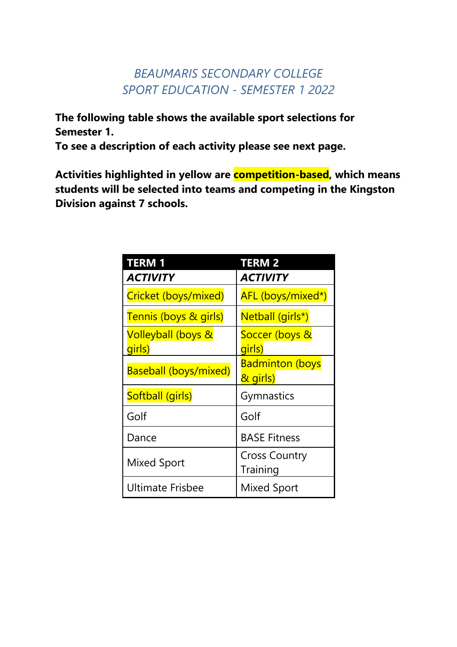## *BEAUMARIS SECONDARY COLLEGE SPORT EDUCATION - SEMESTER 1 2022*

**The following table shows the available sport selections for Semester 1.**

**To see a description of each activity please see next page.** 

**Activities highlighted in yellow are competition-based, which means students will be selected into teams and competing in the Kingston Division against 7 schools.** 

| <b>TERM1</b>                            | <b>TERM 2</b>                      |
|-----------------------------------------|------------------------------------|
| <b>ACTIVITY</b>                         | ACTIVITY                           |
| Cricket (boys/mixed)                    | AFL (boys/mixed*)                  |
| Tennis (boys & girls)                   | Netball (girls*)                   |
| <b>Volleyball (boys &amp;</b><br>girls) | Soccer (boys &<br>girls)           |
| <b>Baseball (boys/mixed)</b>            | <b>Badminton (boys</b><br>& girls) |
| Softball (girls)                        | Gymnastics                         |
| Golf                                    | Golf                               |
| Dance                                   | <b>BASE Fitness</b>                |
| <b>Mixed Sport</b>                      | <b>Cross Country</b><br>Training   |
| <b>Ultimate Frisbee</b>                 | Mixed Sport                        |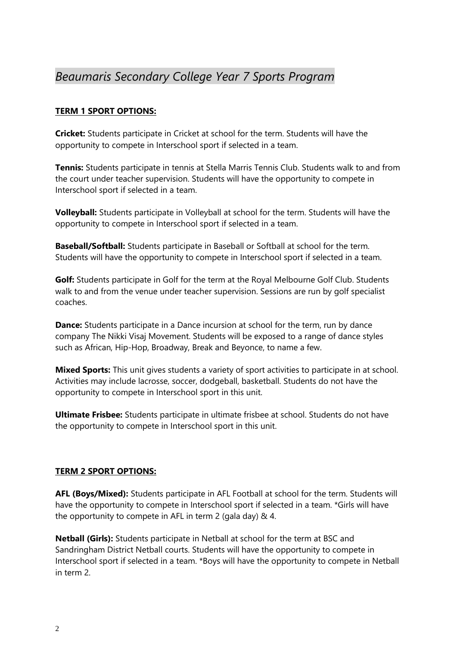## *Beaumaris Secondary College Year 7 Sports Program*

## **TERM 1 SPORT OPTIONS:**

**Cricket:** Students participate in Cricket at school for the term. Students will have the opportunity to compete in Interschool sport if selected in a team.

**Tennis:** Students participate in tennis at Stella Marris Tennis Club. Students walk to and from the court under teacher supervision. Students will have the opportunity to compete in Interschool sport if selected in a team.

**Volleyball:** Students participate in Volleyball at school for the term. Students will have the opportunity to compete in Interschool sport if selected in a team.

**Baseball/Softball:** Students participate in Baseball or Softball at school for the term. Students will have the opportunity to compete in Interschool sport if selected in a team.

**Golf:** Students participate in Golf for the term at the Royal Melbourne Golf Club. Students walk to and from the venue under teacher supervision. Sessions are run by golf specialist coaches.

**Dance:** Students participate in a Dance incursion at school for the term, run by dance company The Nikki Visaj Movement. Students will be exposed to a range of dance styles such as African, Hip-Hop, Broadway, Break and Beyonce, to name a few.

**Mixed Sports:** This unit gives students a variety of sport activities to participate in at school. Activities may include lacrosse, soccer, dodgeball, basketball. Students do not have the opportunity to compete in Interschool sport in this unit.

**Ultimate Frisbee:** Students participate in ultimate frisbee at school. Students do not have the opportunity to compete in Interschool sport in this unit.

## **TERM 2 SPORT OPTIONS:**

**AFL (Boys/Mixed):** Students participate in AFL Football at school for the term. Students will have the opportunity to compete in Interschool sport if selected in a team. \*Girls will have the opportunity to compete in AFL in term 2 (gala day) & 4.

**Netball (Girls):** Students participate in Netball at school for the term at BSC and Sandringham District Netball courts. Students will have the opportunity to compete in Interschool sport if selected in a team. \*Boys will have the opportunity to compete in Netball in term 2.